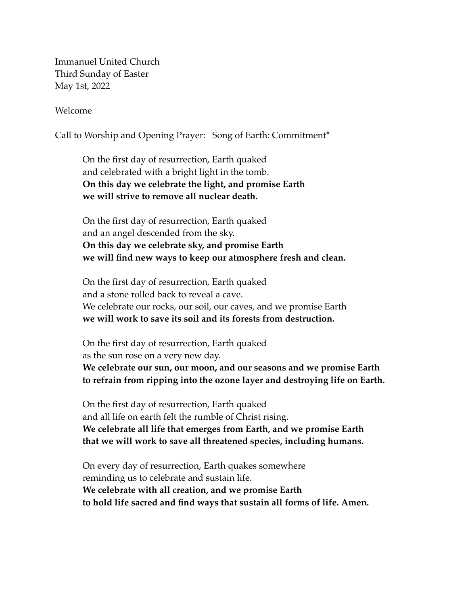Immanuel United Church Third Sunday of Easter May 1st, 2022

Welcome

Call to Worship and Opening Prayer: Song of Earth: Commitment\*

On the first day of resurrection, Earth quaked and celebrated with a bright light in the tomb. **On this day we celebrate the light, and promise Earth we will strive to remove all nuclear death.** 

On the first day of resurrection, Earth quaked and an angel descended from the sky. **On this day we celebrate sky, and promise Earth we will find new ways to keep our atmosphere fresh and clean.** 

On the first day of resurrection, Earth quaked and a stone rolled back to reveal a cave. We celebrate our rocks, our soil, our caves, and we promise Earth **we will work to save its soil and its forests from destruction.** 

On the first day of resurrection, Earth quaked as the sun rose on a very new day. **We celebrate our sun, our moon, and our seasons and we promise Earth to refrain from ripping into the ozone layer and destroying life on Earth.** 

On the first day of resurrection, Earth quaked and all life on earth felt the rumble of Christ rising. **We celebrate all life that emerges from Earth, and we promise Earth that we will work to save all threatened species, including humans.** 

On every day of resurrection, Earth quakes somewhere reminding us to celebrate and sustain life. **We celebrate with all creation, and we promise Earth to hold life sacred and find ways that sustain all forms of life. Amen.**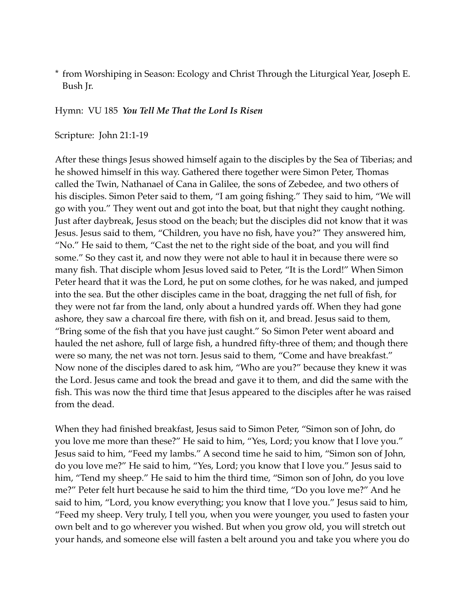\* from Worshiping in Season: Ecology and Christ Through the Liturgical Year, Joseph E. Bush Jr.

Hymn: VU 185 *You Tell Me That the Lord Is Risen*

Scripture: John 21:1-19

After these things Jesus showed himself again to the disciples by the Sea of Tiberias; and he showed himself in this way. Gathered there together were Simon Peter, Thomas called the Twin, Nathanael of Cana in Galilee, the sons of Zebedee, and two others of his disciples. Simon Peter said to them, "I am going fishing." They said to him, "We will go with you." They went out and got into the boat, but that night they caught nothing. Just after daybreak, Jesus stood on the beach; but the disciples did not know that it was Jesus. Jesus said to them, "Children, you have no fish, have you?" They answered him, "No." He said to them, "Cast the net to the right side of the boat, and you will find some." So they cast it, and now they were not able to haul it in because there were so many fish. That disciple whom Jesus loved said to Peter, "It is the Lord!" When Simon Peter heard that it was the Lord, he put on some clothes, for he was naked, and jumped into the sea. But the other disciples came in the boat, dragging the net full of fish, for they were not far from the land, only about a hundred yards off. When they had gone ashore, they saw a charcoal fire there, with fish on it, and bread. Jesus said to them, "Bring some of the fish that you have just caught." So Simon Peter went aboard and hauled the net ashore, full of large fish, a hundred fifty-three of them; and though there were so many, the net was not torn. Jesus said to them, "Come and have breakfast." Now none of the disciples dared to ask him, "Who are you?" because they knew it was the Lord. Jesus came and took the bread and gave it to them, and did the same with the fish. This was now the third time that Jesus appeared to the disciples after he was raised from the dead.

When they had finished breakfast, Jesus said to Simon Peter, "Simon son of John, do you love me more than these?" He said to him, "Yes, Lord; you know that I love you." Jesus said to him, "Feed my lambs." A second time he said to him, "Simon son of John, do you love me?" He said to him, "Yes, Lord; you know that I love you." Jesus said to him, "Tend my sheep." He said to him the third time, "Simon son of John, do you love me?" Peter felt hurt because he said to him the third time, "Do you love me?" And he said to him, "Lord, you know everything; you know that I love you." Jesus said to him, "Feed my sheep. Very truly, I tell you, when you were younger, you used to fasten your own belt and to go wherever you wished. But when you grow old, you will stretch out your hands, and someone else will fasten a belt around you and take you where you do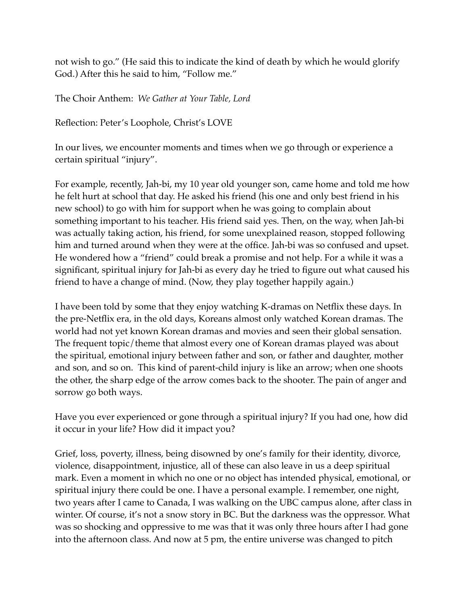not wish to go." (He said this to indicate the kind of death by which he would glorify God.) After this he said to him, "Follow me."

The Choir Anthem: *We Gather at Your Table, Lord*

Reflection: Peter's Loophole, Christ's LOVE

In our lives, we encounter moments and times when we go through or experience a certain spiritual "injury".

For example, recently, Jah-bi, my 10 year old younger son, came home and told me how he felt hurt at school that day. He asked his friend (his one and only best friend in his new school) to go with him for support when he was going to complain about something important to his teacher. His friend said yes. Then, on the way, when Jah-bi was actually taking action, his friend, for some unexplained reason, stopped following him and turned around when they were at the office. Jah-bi was so confused and upset. He wondered how a "friend" could break a promise and not help. For a while it was a significant, spiritual injury for Jah-bi as every day he tried to figure out what caused his friend to have a change of mind. (Now, they play together happily again.)

I have been told by some that they enjoy watching K-dramas on Netflix these days. In the pre-Netflix era, in the old days, Koreans almost only watched Korean dramas. The world had not yet known Korean dramas and movies and seen their global sensation. The frequent topic/theme that almost every one of Korean dramas played was about the spiritual, emotional injury between father and son, or father and daughter, mother and son, and so on. This kind of parent-child injury is like an arrow; when one shoots the other, the sharp edge of the arrow comes back to the shooter. The pain of anger and sorrow go both ways.

Have you ever experienced or gone through a spiritual injury? If you had one, how did it occur in your life? How did it impact you?

Grief, loss, poverty, illness, being disowned by one's family for their identity, divorce, violence, disappointment, injustice, all of these can also leave in us a deep spiritual mark. Even a moment in which no one or no object has intended physical, emotional, or spiritual injury there could be one. I have a personal example. I remember, one night, two years after I came to Canada, I was walking on the UBC campus alone, after class in winter. Of course, it's not a snow story in BC. But the darkness was the oppressor. What was so shocking and oppressive to me was that it was only three hours after I had gone into the afternoon class. And now at 5 pm, the entire universe was changed to pitch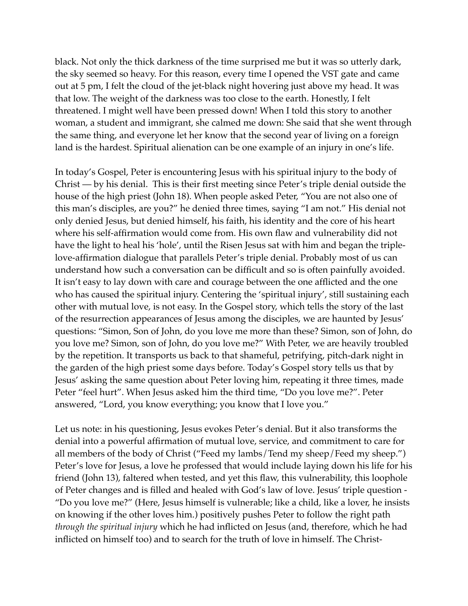black. Not only the thick darkness of the time surprised me but it was so utterly dark, the sky seemed so heavy. For this reason, every time I opened the VST gate and came out at 5 pm, I felt the cloud of the jet-black night hovering just above my head. It was that low. The weight of the darkness was too close to the earth. Honestly, I felt threatened. I might well have been pressed down! When I told this story to another woman, a student and immigrant, she calmed me down: She said that she went through the same thing, and everyone let her know that the second year of living on a foreign land is the hardest. Spiritual alienation can be one example of an injury in one's life.

In today's Gospel, Peter is encountering Jesus with his spiritual injury to the body of Christ — by his denial. This is their first meeting since Peter's triple denial outside the house of the high priest (John 18). When people asked Peter, "You are not also one of this man's disciples, are you?" he denied three times, saying "I am not." His denial not only denied Jesus, but denied himself, his faith, his identity and the core of his heart where his self-affirmation would come from. His own flaw and vulnerability did not have the light to heal his 'hole', until the Risen Jesus sat with him and began the triplelove-affirmation dialogue that parallels Peter's triple denial. Probably most of us can understand how such a conversation can be difficult and so is often painfully avoided. It isn't easy to lay down with care and courage between the one afflicted and the one who has caused the spiritual injury. Centering the 'spiritual injury', still sustaining each other with mutual love, is not easy. In the Gospel story, which tells the story of the last of the resurrection appearances of Jesus among the disciples, we are haunted by Jesus' questions: "Simon, Son of John, do you love me more than these? Simon, son of John, do you love me? Simon, son of John, do you love me?" With Peter, we are heavily troubled by the repetition. It transports us back to that shameful, petrifying, pitch-dark night in the garden of the high priest some days before. Today's Gospel story tells us that by Jesus' asking the same question about Peter loving him, repeating it three times, made Peter "feel hurt". When Jesus asked him the third time, "Do you love me?". Peter answered, "Lord, you know everything; you know that I love you."

Let us note: in his questioning, Jesus evokes Peter's denial. But it also transforms the denial into a powerful affirmation of mutual love, service, and commitment to care for all members of the body of Christ ("Feed my lambs/Tend my sheep/Feed my sheep.") Peter's love for Jesus, a love he professed that would include laying down his life for his friend (John 13), faltered when tested, and yet this flaw, this vulnerability, this loophole of Peter changes and is filled and healed with God's law of love. Jesus' triple question - "Do you love me?" (Here, Jesus himself is vulnerable; like a child, like a lover, he insists on knowing if the other loves him.) positively pushes Peter to follow the right path *through the spiritual injury* which he had inflicted on Jesus (and, therefore, which he had inflicted on himself too) and to search for the truth of love in himself. The Christ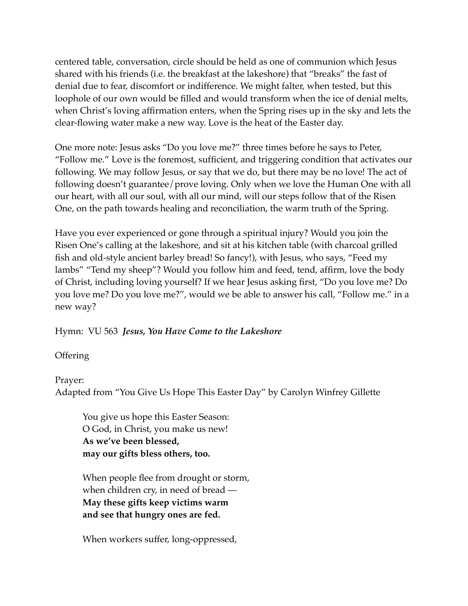centered table, conversation, circle should be held as one of communion which Jesus shared with his friends (i.e. the breakfast at the lakeshore) that "breaks" the fast of denial due to fear, discomfort or indifference. We might falter, when tested, but this loophole of our own would be filled and would transform when the ice of denial melts, when Christ's loving affirmation enters, when the Spring rises up in the sky and lets the clear-flowing water make a new way. Love is the heat of the Easter day.

One more note: Jesus asks "Do you love me?" three times before he says to Peter, "Follow me." Love is the foremost, sufficient, and triggering condition that activates our following. We may follow Jesus, or say that we do, but there may be no love! The act of following doesn't guarantee/prove loving. Only when we love the Human One with all our heart, with all our soul, with all our mind, will our steps follow that of the Risen One, on the path towards healing and reconciliation, the warm truth of the Spring.

Have you ever experienced or gone through a spiritual injury? Would you join the Risen One's calling at the lakeshore, and sit at his kitchen table (with charcoal grilled fish and old-style ancient barley bread! So fancy!), with Jesus, who says, "Feed my lambs" "Tend my sheep"? Would you follow him and feed, tend, affirm, love the body of Christ, including loving yourself? If we hear Jesus asking first, "Do you love me? Do you love me? Do you love me?", would we be able to answer his call, "Follow me." in a new way?

Hymn: VU 563 *Jesus, You Have Come to the Lakeshore*

**Offering** 

Prayer:

Adapted from "You Give Us Hope This Easter Day" by Carolyn Winfrey Gillette

You give us hope this Easter Season: O God, in Christ, you make us new! **As we've been blessed, may our gifts bless others, too.** 

When people flee from drought or storm, when children cry, in need of bread — **May these gifts keep victims warm and see that hungry ones are fed.** 

When workers suffer, long-oppressed,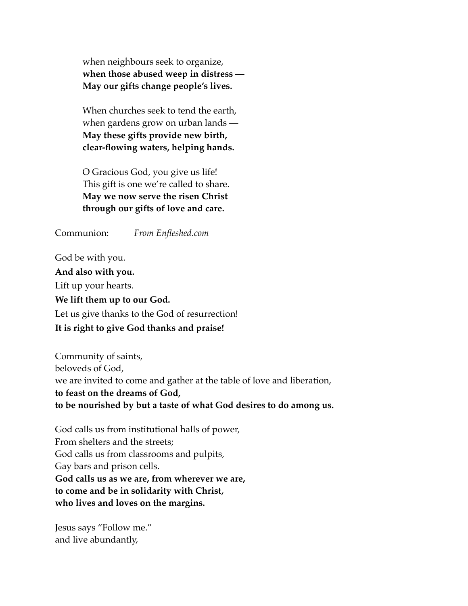when neighbours seek to organize, **when those abused weep in distress — May our gifts change people's lives.** 

When churches seek to tend the earth, when gardens grow on urban lands — **May these gifts provide new birth, clear-flowing waters, helping hands.** 

O Gracious God, you give us life! This gift is one we're called to share. **May we now serve the risen Christ through our gifts of love and care.** 

Communion: *From Enfleshed.com*

God be with you. **And also with you.** Lift up your hearts. **We lift them up to our God.** Let us give thanks to the God of resurrection! **It is right to give God thanks and praise!**

Community of saints, beloveds of God, we are invited to come and gather at the table of love and liberation, **to feast on the dreams of God, to be nourished by but a taste of what God desires to do among us.**

God calls us from institutional halls of power, From shelters and the streets; God calls us from classrooms and pulpits, Gay bars and prison cells. **God calls us as we are, from wherever we are, to come and be in solidarity with Christ, who lives and loves on the margins.**

Jesus says "Follow me." and live abundantly,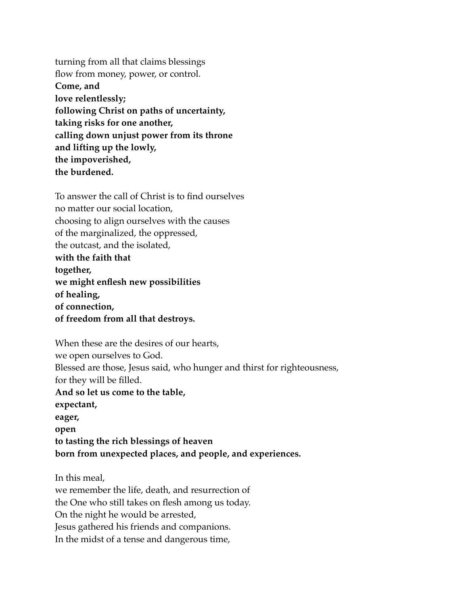turning from all that claims blessings flow from money, power, or control. **Come, and love relentlessly; following Christ on paths of uncertainty, taking risks for one another, calling down unjust power from its throne and lifting up the lowly, the impoverished, the burdened.**

To answer the call of Christ is to find ourselves no matter our social location, choosing to align ourselves with the causes of the marginalized, the oppressed, the outcast, and the isolated, **with the faith that together, we might enflesh new possibilities of healing, of connection, of freedom from all that destroys.**

When these are the desires of our hearts, we open ourselves to God. Blessed are those, Jesus said, who hunger and thirst for righteousness, for they will be filled. **And so let us come to the table, expectant, eager, open to tasting the rich blessings of heaven born from unexpected places, and people, and experiences.**

In this meal, we remember the life, death, and resurrection of the One who still takes on flesh among us today. On the night he would be arrested, Jesus gathered his friends and companions. In the midst of a tense and dangerous time,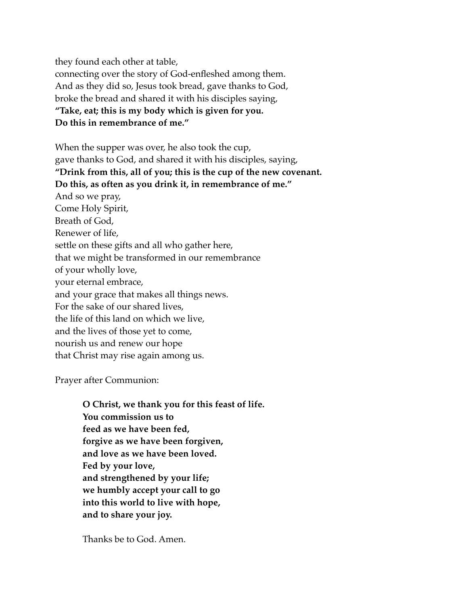they found each other at table, connecting over the story of God-enfleshed among them. And as they did so, Jesus took bread, gave thanks to God, broke the bread and shared it with his disciples saying, **"Take, eat; this is my body which is given for you. Do this in remembrance of me."**

When the supper was over, he also took the cup, gave thanks to God, and shared it with his disciples, saying, **"Drink from this, all of you; this is the cup of the new covenant. Do this, as often as you drink it, in remembrance of me."** And so we pray, Come Holy Spirit, Breath of God, Renewer of life, settle on these gifts and all who gather here, that we might be transformed in our remembrance of your wholly love, your eternal embrace, and your grace that makes all things news. For the sake of our shared lives, the life of this land on which we live, and the lives of those yet to come, nourish us and renew our hope that Christ may rise again among us.

Prayer after Communion:

**O Christ, we thank you for this feast of life. You commission us to feed as we have been fed, forgive as we have been forgiven, and love as we have been loved. Fed by your love, and strengthened by your life; we humbly accept your call to go into this world to live with hope, and to share your joy.**

Thanks be to God. Amen.